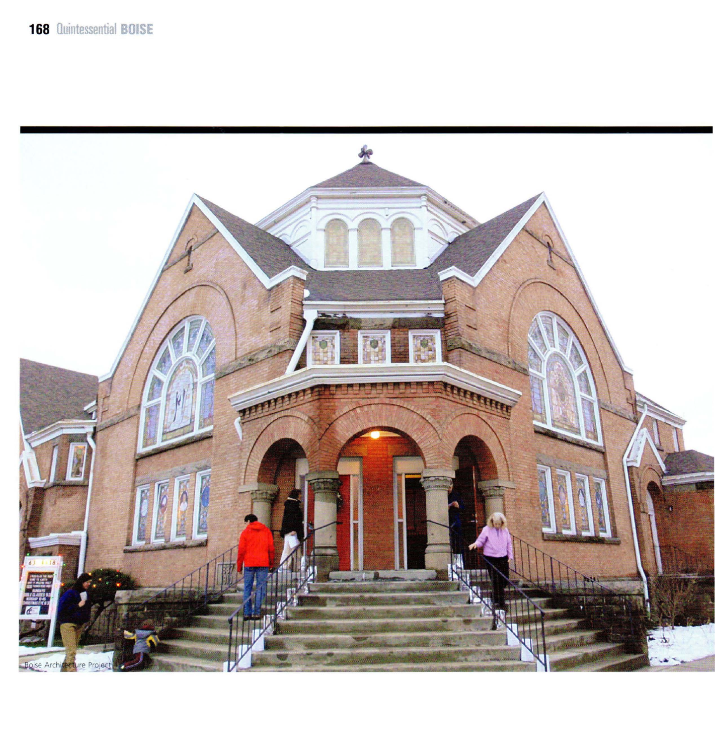